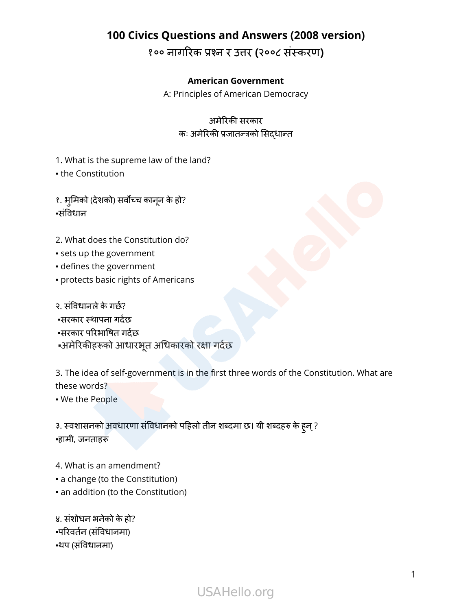१०० नागरिक प्रश्न र उत्तर **(**२००८ संस्करण**)**

#### **American Government**

A: Principles of American Democracy

#### अमेरिकी सरकार कः अमेरिकी प्रजातन्त्रको सिद्धान्त

1. What is the supreme law of the land? • the Constitution

१. भूमिको (देशको) सर्वोच्च कानून के हो? ▪संविधान

- 2. What does the Constitution do?
- sets up the government
- defines the government
- protects basic rights of Americans

२. संविधानले के गर्छ? ▪सरकार स्थापना गर्दछ ▪सरकार परिभाषित गर्दछ ▪अमेरिकीहरूको आधारभतू अधिकारको रक्षा गर्दछ

3. The idea of self-government is in the first three words of the Constitution. What are these words?

▪ We the People

३. स्वशासनको अवधारणा संविधानको पहिलो तीन शब्दमा छ। यी शब्दहरु के हुन् ? ▪हामी, जनताहरू

4. What is an amendment?

- a change (to the Constitution)
- an addition (to the Constitution)

४. संशोधन भनेको के हो? ▪परिवर्तन (संविधानमा) ▪थप (संविधानमा)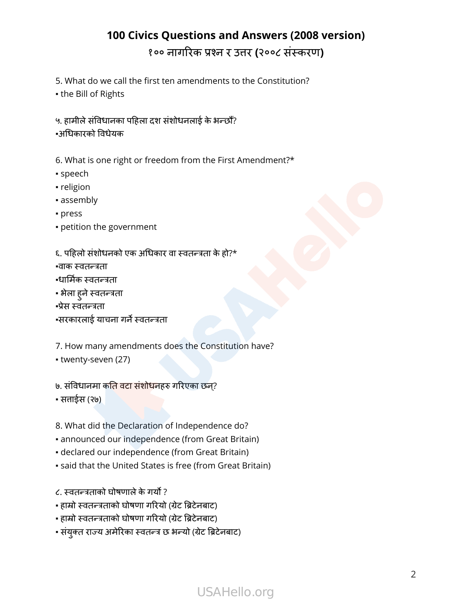5. What do we call the first ten amendments to the Constitution?

▪ the Bill of Rights

५. हामीले संविधानका पहिला दश संशोधनलाई के भन्छौँ?

▪अधिकारको विधेयक

6. What is one right or freedom from the First Amendment?\*

- speech
- religion
- assembly
- press
- petition the government
- ६. पहिलो संशोधनको एक अधिकार वा स्वतन्त्रता के हो?\*

▪वाक स्वतन्त्रता

- ▪धार्मिक स्वतन्त्रता
- भेला हुने स्वतन्त्रता
- ▪प्रेस स्वतन्त्रता
- ▪सरकारलाई याचना गर्ने स्वतन्त्रता

7. How many amendments does the Constitution have?

▪ twenty-seven (27)

७. संविधानमा कति वटा संशोधनहरु गरिएका छन?्

▪ सत्ताईस (२७)

- 8. What did the Declaration of Independence do?
- announced our independence (from Great Britain)
- declared our independence (from Great Britain)
- said that the United States is free (from Great Britain)
- ८. स्वतन्त्रताको घोषणालेकेगर्यो ?
- हाम्रो स्वतन्त्रताको घोषणा गरियो (ग्रेट ब्रिटेनबाट)
- हाम्रो स्वतन्त्रताको घोषणा गरियो (ग्रेट ब्रिटेनबाट)
- संयक्ुत राज्य अमेरिका स्वतन्त्र छ भन्यो (ग्रेट ब्रिटेनबाट)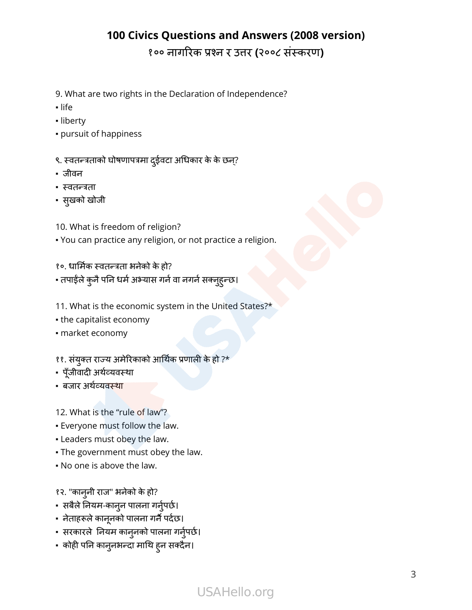- 9. What are two rights in the Declaration of Independence?
- life
- liberty
- pursuit of happiness
- ९. स्वतन्त्रताको घोषणापत्रमा दुईवटा अधिकार के के छन्?
- जीवन
- स्वतन्त्रता
- सुखको खोजी
- 10. What is freedom of religion?
- You can practice any religion, or not practice a religion.

१०. धार्मिक स्वतन्त्रता भनेको के हो?

- तपाईंले कुनै पनि धर्म अभ्यास गर्न वा नगर्न सक्नुहुन्छ।
- 11. What is the economic system in the United States?\*
- the capitalist economy
- market economy
- ११. संयुक्त राज्य अमेरिकाको आर्थिक प्रणाली के हो ?\*
- पूँजीवादी अर्थव्यवस्था
- बजार अर्थव्यवस्था
- 12. What is the "rule of law"?
- Everyone must follow the law.
- Leaders must obey the law.
- The government must obey the law.
- No one is above the law.
- १२. "कान्नी राज" भनेको के हो?
- सबैलेनियम-काननु पालना गर्नुपर्नुर्छ।
- नेताहरूले कानूनको पालना गर्नै पर्दछ।
- सरकारले नियम कान्नको पालना गर्नुपर्छ।
- कोही पनि कान्नमन्दा माथि ह्न सक्दैन।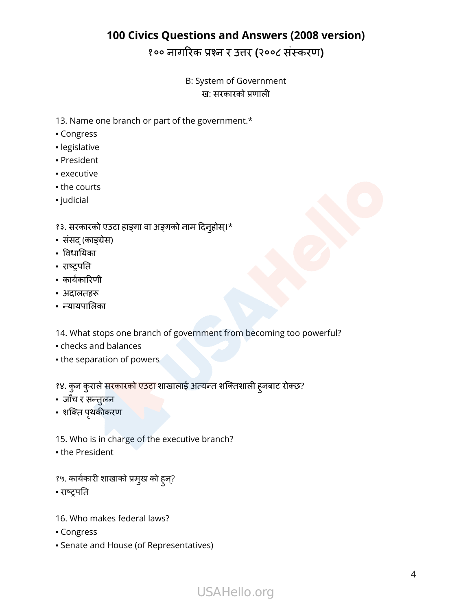#### B: System of Government ख: सरकारको प्रणाली

- 13. Name one branch or part of the government.\*
- Congress
- legislative
- President
- executive
- the courts
- judicial

#### १३. सरकारको एउटा हाङ्गा वा अङ्गको नाम दिन्होस्।\*

- संसद् (काङ्ग्रेस)
- विधायिका
- राष्ट्रपति
- कार्यकारिणी
- अदालतहरू
- न्यायपालिका

14. What stops one branch of government from becoming too powerful?

- checks and balances
- the separation of powers

१४. कुन कुराले सरकारको एउटा शाखालाई अत्यन्त शक्तिशाली हुनबाट रोक्छ?

- जाँच र सन्तुलन
- शक्ति पृथकीकरण
- 15. Who is in charge of the executive branch?
- the President
- १५. कार्यकारी शाखाको प्रमखु को हुन?्
- राष्ट्रपति
- 16. Who makes federal laws?
- Congress
- Senate and House (of Representatives)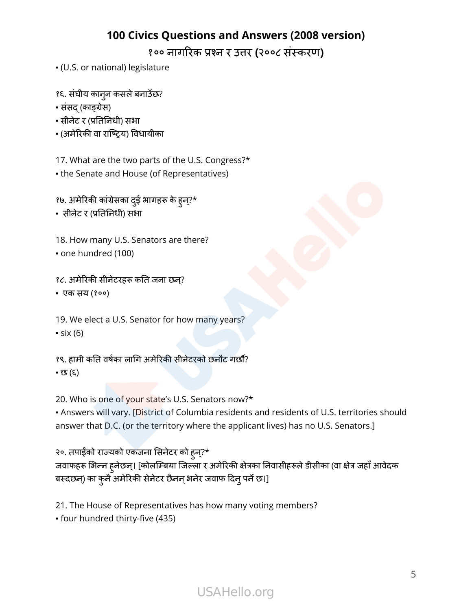१०० नागरिक प्रश्न र उत्तर **(**२००८ संस्करण**)**

- (U.S. or national) legislature
- १६. संघीय काननु कसलेबनाउँछ?
- संसद् (काङ्ग्रेस)
- सीनेट र (प्रतिनिधी) सभा
- (अमेरिकी वा राष्ट्रिय) विधायीका

17. What are the two parts of the U.S. Congress?\*

- the Senate and House (of Representatives)
- १७. अमेरिकी कांग्रेसका दईु भागहरू के हुन?\*्
- सीनेट र (प्रतिनिधी) सभा
- 18. How many U.S. Senators are there?
- one hundred (100)
- १८. अमेरिकी सीनेटरहरू कति जना छन?्
- एक सय (१००)
- 19. We elect a U.S. Senator for how many years?  $\cdot$  six (6)
- १९. हामी कति वर्षका लागि अमेरिकी सीनेटरको छनौट गर्छौ? ▪ छ (६)
- 20. Who is one of your state's U.S. Senators now?\*
- Answers will vary. [District of Columbia residents and residents of U.S. territories should answer that D.C. (or the territory where the applicant lives) has no U.S. Senators.]

२०. तपाईँको राज्यको एकजना सिनेटर को हुन?\*् जवाफहरू भिन्न हुनेछन्। [कोलम्बिया जिल्ला र अमेरिकी क्षेत्रका निवासीहरूले डीसीका (वा क्षेत्र जहाँ आवेदक बस्दछन्) का कुनै अमेरिकी सेनेटर छैनन् भनेर जवाफ दिनु पर्ने छ।]

21. The House of Representatives has how many voting members?

▪ four hundred thirty-five (435)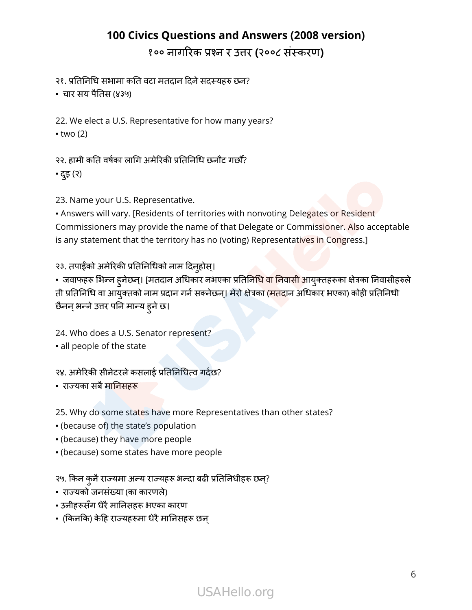२१. प्रतिनिधि सभामा कति वटा मतदान दिने सदस्यहरु छन?

▪ चार सय पैतिस (४३५)

22. We elect a U.S. Representative for how many years?  $\bullet$  two (2)

२२. हामी कति वर्षका लागि अमेरिकी प्रतिनिधि छनौट गर्छौ?

▪ दइु (२)

23. Name your U.S. Representative.

. Answers will vary. [Residents of territories with nonvoting Delegates or Resident Commissioners may provide the name of that Delegate or Commissioner. Also acceptable is any statement that the territory has no (voting) Representatives in Congress.]

#### २३. तपाईंको अमेरिकी प्रतिनिधिको नाम दिनुहोस्।

• जवाफहरू भिन्न हुनेछन्। [मतदान अधिकार नभएका प्रतिनिधि वा निवासी आयुक्तहरूका क्षेत्रका निवासीहरुले ती प्रतिनिधि वा आयुक्तको नाम प्रदान गर्न सक्नेछन्। मेरो क्षेत्रका (मतदान अधिकार भएका) कोही प्रतिनिधी छैनन् भन्ने उत्तर पनि मान्य ह्ने छ।

24. Who does a U.S. Senator represent?

▪ all people of the state

२४. अमेरिकी सीनेटरले कसलाई प्रतिनिधित्व गर्दछ?

▪ राज्यका सबैमानिसहरू

25. Why do some states have more Representatives than other states?

- (because of) the state's population
- (because) they have more people
- (because) some states have more people

२५. किन कुनैराज्यमा अन्य राज्यहरू भन्दा बढी प्रतिनिधीहरू छन?्

- राज्यको जनसंख्या (का कारणले)
- उनीहरूसँग धेरै मानिसहरू भएका कारण
- (किनकि) केहि राज्यहरूमा धेरै मानिसहरू छन्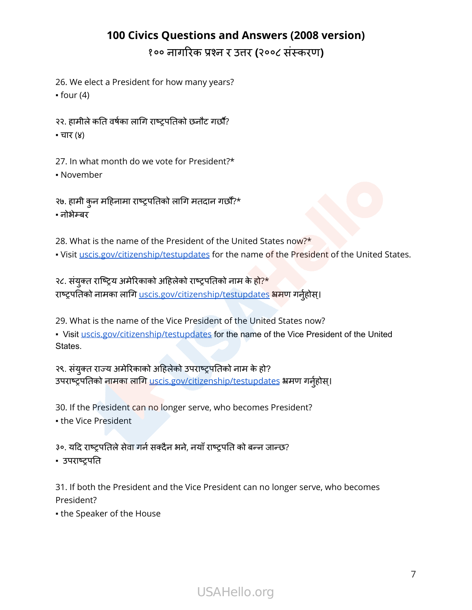26. We elect a President for how many years?

 $•$  four  $(4)$ 

२२. हामीले कति वर्षका लागि राष्ट्रपतिको छनौट गर्छौ?

▪ चार (४)

27. In what month do we vote for President?\* ▪ November

२७. हामी कुन महिनामा राष्ट्रपतिको लागि मतदान गर्छौँ?\* ▪ नोभेम्बर

28. What is the name of the President of the United States now?\*

• Visit [uscis.gov/citizenship/testupdates](http://uscis.gov/citizenship/testupdates) for the name of the President of the United States.

२८. संयुक्त राष्ट्रिय अमेरिकाको अहिलेको राष्ट्रपतिको नाम के हो?\* राष्ट्रपतिको नामका लागि [uscis.gov/citizenship/testupdates](http://uscis.gov/citizenship/testupdates) भ्रमण गर्नुहोस्।

29. What is the name of the Vice President of the United States now?

• Visit [uscis.gov/citizenship/testupdates](http://uscis.gov/citizenship/testupdates) for the name of the Vice President of the United States.

२९. संयुक्त राज्य अमेरिकाको अहिलेको उपराष्ट्रपतिको नाम के हो? उपराष्ट्रपतिको नामका लागि [uscis.gov/citizenship/testupdates](http://uscis.gov/citizenship/testupdates) भ्रमण गर्नुहोस्।

30. If the President can no longer serve, who becomes President? ▪ the Vice President

३०. यदि राष्ट्रपतिले सेवा गर्न सक्दैन भने, नयाँ राष्ट्रपति को बन्न जान्छ?

▪ उपराष्ट्रपति

31. If both the President and the Vice President can no longer serve, who becomes President?

• the Speaker of the House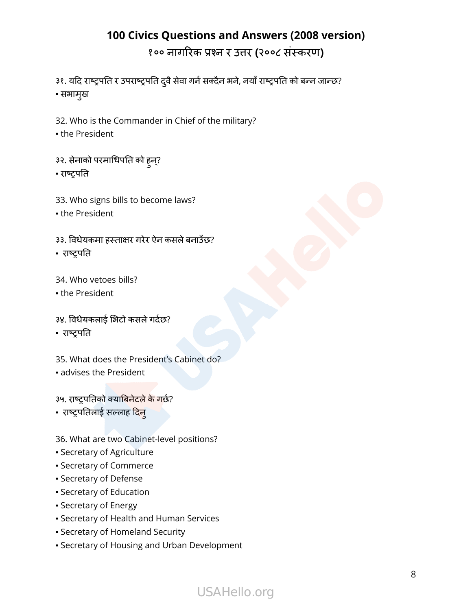१०० नागरिक प्रश्न र उत्तर **(**२००८ संस्करण**)**

३१. यदि राष्ट्रपति र उपराष्ट्रपति दुवै सेवा गर्न सक्दैन भने, नयाँ राष्ट्रपति को बन्न जान्छ? ▪ सभामखु

32. Who is the Commander in Chief of the military?

▪ the President

- ३२. सेनाको परमाधिपति को हुन?् ▪ राष्ट्रपति
- 33. Who signs bills to become laws?
- the President

३३. विधेयकमा हस्ताक्षर गरेर ऐन कसलेबनाउँछ?

- राष्ट्रपति
- 34. Who vetoes bills?
- the President
- ३४. विधेयकलाई भिटो कसले गर्दछ?
- राष्ट्रपति

35. What does the President's Cabinet do?

▪ advises the President

३५. राष्ट्रपतिको क्याबिनेटले के गर्छ?

• राष्ट्रपतिलाई सल्लाह दिन्

36. What are two Cabinet-level positions?

- Secretary of Agriculture
- Secretary of Commerce
- Secretary of Defense
- Secretary of Education
- Secretary of Energy
- Secretary of Health and Human Services
- Secretary of Homeland Security
- Secretary of Housing and Urban Development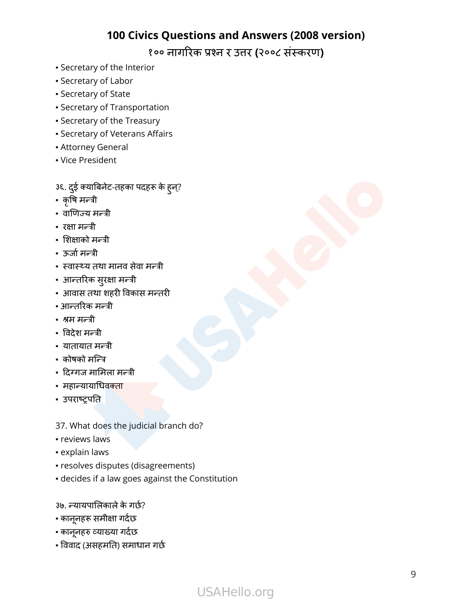१०० नागरिक प्रश्न र उत्तर **(**२००८ संस्करण**)**

- Secretary of the Interior
- Secretary of Labor
- Secretary of State
- Secretary of Transportation
- Secretary of the Treasury
- Secretary of Veterans Affairs
- Attorney General
- Vice President
- ३६. दईु क्याबिनेट-तहका पदहरू के हुन?्
- कृषि मन्त्री
- वाणिज्य मन्त्री
- रक्षा मन्त्री
- शिक्षाको मन्त्री
- ऊर्जामन्त्री
- स्वास्थ्य तथा मानव सेवा मन्त्री
- आन्तरिक सरुक्षा मन्त्री
- आवास तथा शहरी विकास मन्तरी
- आन्तरिक मन्त्री
- श्रम मन्त्री
- विदेश मन्त्री
- यातायात मन्त्री
- कोषको मन्त्रि
- दिग्गज मामिला मन्त्री
- महान्यायाधिवक्ता
- उपराष्ट्रपति
- 37. What does the judicial branch do?
- reviews laws
- **explain laws**
- resolves disputes (disagreements)
- decides if a law goes against the Constitution
- ३७. न्यायपालिकाले के गर्छ?
- काननहू रू समीक्षा गर्दछ
- काननहू रु व्याख्या गर्दछ
- विवाद (असहमति) समाधान गर्छ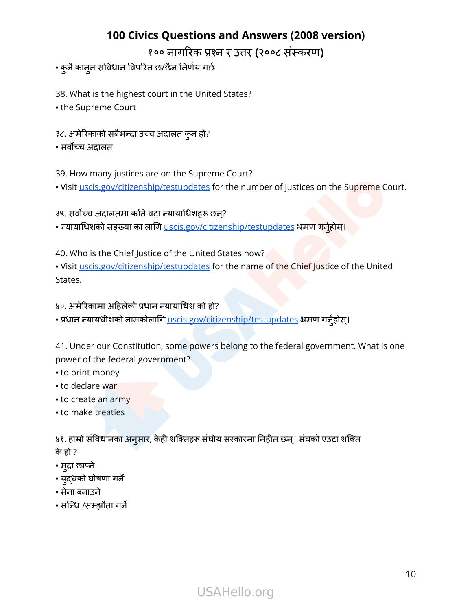१०० नागरिक प्रश्न र उत्तर **(**२००८ संस्करण**)**

#### ▪ कुनैकाननु संविधान विपरित छ/छैन निर्णय गर्छ

38. What is the highest court in the United States?

▪ the Supreme Court

- ३८. अमेरिकाको सबैभन्दा उच्च अदालत कुन हो?
- सर्वोच्च अदालत

39. How many justices are on the Supreme Court?

. Visit [uscis.gov/citizenship/testupdates](http://uscis.gov/citizenship/testupdates) for the number of justices on the Supreme Court.

३९. सर्वोच्च अदालतमा कति वटा न्यायाधिशहरू छन?्

• न्यायाधिशको सङ्ख्या का लागि <u>[uscis.gov/citizenship/testupdates](http://uscis.gov/citizenship/testupdates)</u> भ्रमण गर्नुहोस्।

40. Who is the Chief Justice of the United States now?

. Visit [uscis.gov/citizenship/testupdates](http://uscis.gov/citizenship/testupdates) for the name of the Chief Justice of the United States.

४०. अमेरिकामा अहिलेको प्रधान न्यायाधिश को हो?

• प्रधान न्यायधीशको नामकोलागि [uscis.gov/citizenship/testupdates](http://uscis.gov/citizenship/testupdates) भ्रमण गर्नुहोस्।

41. Under our Constitution, some powers belong to the federal government. What is one power of the federal government?

- to print money
- to declare war
- to create an army
- to make treaties

४१. हाम्रो संविधानका अनुसार, केही शक्तिहरू संघीय सरकारमा निहीत छन्। संघको एउटा शक्ति के हो ?

- मद्रुा छाप्ने
- यद्ुधको घोषणा गर्ने
- सेना बनाउने
- सन्धि /सम्झौता गर्ने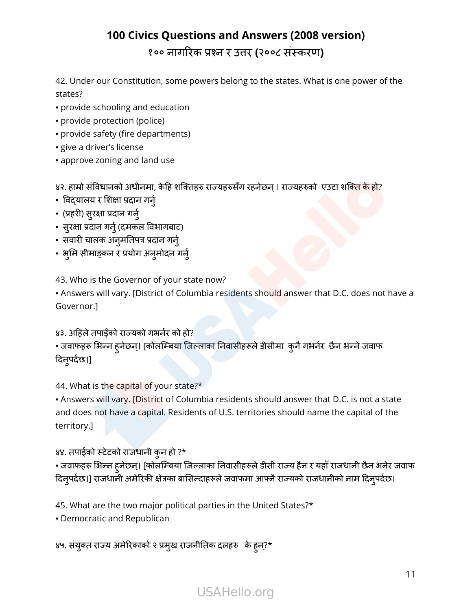42. Under our Constitution, some powers belong to the states. What is one power of the states?

- provide schooling and education
- provide protection (police)
- provide safety (fire departments)
- give a driver's license
- approve zoning and land use

४२. हाम्रो संविधानको अधीनमा, केहि शक्तिहरु राज्यहरुसँग रहनेछन । राज्यहरुको एउटा शक्ति के हो?

- विद्यालय र शिक्षा प्रदान गर्नु
- (प्रहरी) सरुक्षा प्रदान गर्नु
- सरुक्षा प्रदान गर्नु (र्नुदमकल विभागबाट)
- सवारी चालक अनुमतिपत्र प्रदान गर्नु
- भुमि सीमाङ्कन र प्रयोग अनुमोदन गर्न्

43. Who is the Governor of your state now?

• Answers will vary. [District of Columbia residents should answer that D.C. does not have a Governor.]

४३. अहिले तपाईँको राज्यको गभर्नर को हो? ▪ जवाफहरू भिन्न हुनेछन।् [कोलम्बिया जिल्लाका निवासीहरूले डीसीमा कुनैगभर्नर छैन भन्नेजवाफ दिनपुर्दछ।]

44. What is the capital of your state?\*

• Answers will vary. [District of Columbia residents should answer that D.C. is not a state and does not have a capital. Residents of U.S. territories should name the capital of the territory.]

४४. तपाईको स्टेटको राजधानी कुन हो ?\*

▪ जवाफहरू भिन्न हुनेछन।् [कोलम्बिया जिल्लाका निवासीहरूले डीसी राज्य हैन <sup>र</sup> यहाँराजधानी छैन भनेर जवाफ दिनपुर्दछ।] राजधानी अमेरिकी क्षेत्रका बासिन्दाहरूले जवाफमा आफ्नैराज्यको राजधानीको नाम दिनपुर्दछ।

45. What are the two major political parties in the United States?\*

▪ Democratic and Republican

४५. संयुक्त राज्य अमेरिकाको २ प्रमुख राजनीतिक दलहरु के हुन्?\*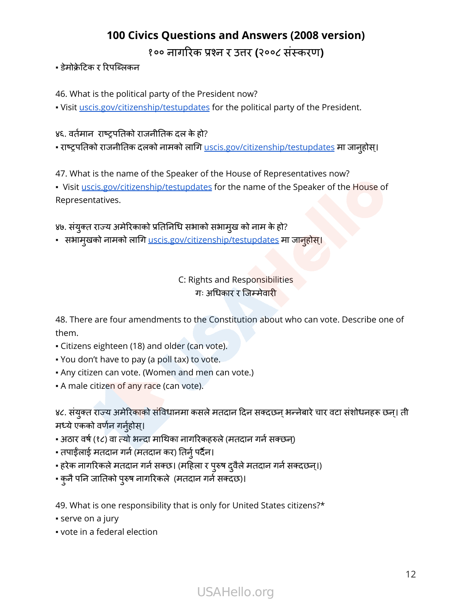#### ▪ डेमोक्रेटिक र रिपब्लिकन

46. What is the political party of the President now?

. Visit [uscis.gov/citizenship/testupdates](http://uscis.gov/citizenship/testupdates) for the political party of the President.

#### ४६. वर्तमान राष्ट्रपतिको राजनीतिक दल के हो?

• राष्ट्रपतिको राजनीतिक दलको नामको लागि <u>[uscis.gov/citizenship/testupdates](http://uscis.gov/citizenship/testupdates)</u> मा जानुहोस्।

47. What is the name of the Speaker of the House of Representatives now?

• Visit [uscis.gov/citizenship/testupdates](http://uscis.gov/citizenship/testupdates) for the name of the Speaker of the House of Representatives.

४७. संयुक्त राज्य अमेरिकाको प्रतिनिधि सभाको सभामुख को नाम के हो?

• सभामुखको नामको लागि <u>[uscis.gov/citizenship/testupdates](http://uscis.gov/citizenship/testupdates)</u> मा जानुहोस्।

#### C: Rights and Responsibilities गः अधिकार र जिम्मेवारी

48. There are four amendments to the Constitution about who can vote. Describe one of them.

- Citizens eighteen (18) and older (can vote).
- You don't have to pay (a poll tax) to vote.
- . Any citizen can vote. (Women and men can vote.)
- . A male citizen of any race (can vote).

४८. संयुक्त राज्य अमेरिकाको संविधानमा कसले मतदान दिन सक्दछन् भन्नेबारे चार वटा संशोधनहरू छन्। ती मध्ये एकको वर्णन गर्नुहोस्।

- अठार वर्ष (१८) वा त्यो भन्दा माथिका नागरिकहरुले(मतदान गर्नसक्छन)्
- तपाईँलाई मतदान गर्न (मतदान कर) तिर्नु पर्दैन।
- हरेक नागरिकले मतदान गर्न सक्छ। (महिला र पुरुष दुवैले मतदान गर्न सक्दछन्।)
- कुनैपनि जातिको परुुष नागरिकले (मतदान गर्नसक्दछ)।

49. What is one responsibility that is only for United States citizens?\*

- **·** serve on a jury
- vote in a federal election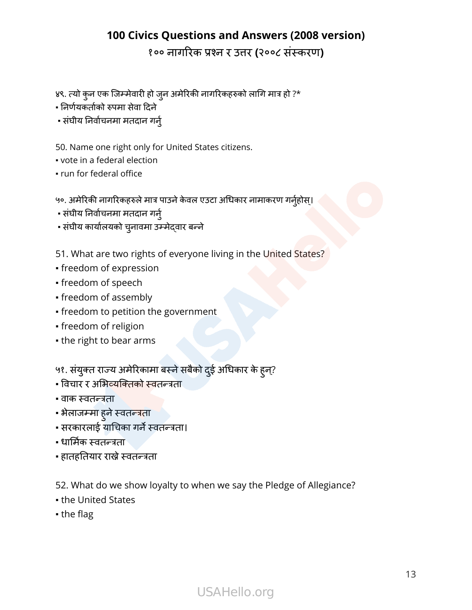१०० नागरिक प्रश्न र उत्तर **(**२००८ संस्करण**)**

४९. त्यो कुन एक जिम्मेवारी हो जनु अमेरिकी नागरिकहरुको लागि मात्र हो ?\*

▪ निर्णयकर्ताको रुपमा सेवा दिने

▪ संघीय निर्वाचनमा मतदान गर्नु

50. Name one right only for United States citizens.

- vote in a federal election
- run for federal office

५०. अमेरिकी नागरिकहरुले मात्र पाउने केवल एउटा अधिकार नामाकरण गर्नुहोस्।

- संघीय निर्वाचनमा मतदान गर्नु
- संघीय कार्यालयको चनावमा ु उम्मेद्वार बन्ने
- 51. What are two rights of everyone living in the United States?
- freedom of expression
- freedom of speech
- freedom of assembly
- freedom to petition the government
- freedom of religion
- the right to bear arms

५१. संयुक्त राज्य अमेरिकामा बस्ने सबैको दुई अधिकार के ह्न्?

- विचार र अभिव्यक्तिको स्वतन्त्रता
- वाक स्वतन्त्रता
- <mark>-</mark> भेलाजम्मा हुने स्वतन्त्रता
- सरकारलाई याचिका गर्ने स्वतन्त्रता।
- धार्मिकर्मि स्वतन्त्रता
- हातहतियार राख्नेस्वतन्त्रता

52. What do we show loyalty to when we say the Pledge of Allegiance?

- the United States
- the flag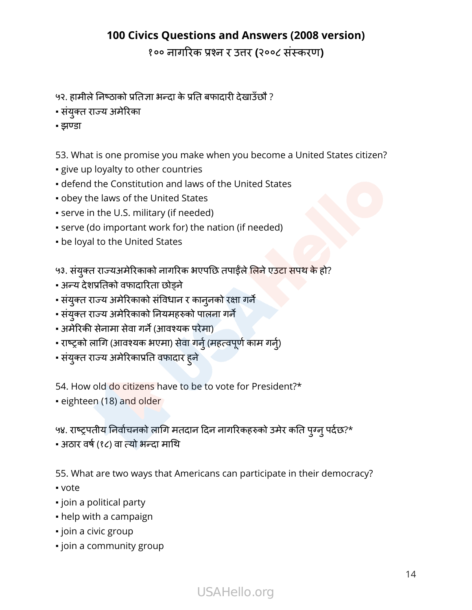१०० नागरिक प्रश्न र उत्तर **(**२००८ संस्करण**)**

- ५२. हामीलेनिष्ठाको प्रतिज्ञा भन्दा के प्रति बफादारी देखाउँछौ ?
- संयक्ुत राज्य अमेरिका
- झण्डा

53. What is one promise you make when you become a United States citizen?

- **give up loyalty to other countries**
- defend the Constitution and laws of the United States
- obey the laws of the United States
- **.** serve in the U.S. military (if needed)
- serve (do important work for) the nation (if needed)
- **be loyal to the United States**

५३. संयुक्त राज्यअमेरिकाको नागरिक भएपछि तपाईँले लिने एउटा सपथ के हो?

- अन्य देशप्रतिको वफादारिता छोड्ने
- संयुक्त राज्य अमेरिकाको संविधान र कानुनको रक्षा गर्ने
- संयक्ुत राज्य अमेरिकाको नियमहरुको पालना गर्ने
- अमेरिकी सेनामा सेवा गर्ने (आवश्यक परेमा)
- राष्ट्रको लागि (आवश्यक भएमा) सेवा गर्नु (महत्वपूर्ण काम गर्नु)
- संयक्ुत राज्य अमेरिकाप्रति वफादार हुने

54. How old do citizens have to be to vote for President?\*

▪ eighteen (18) and older

५४. राष्ट्रपतीय निर्वाचनको लागि मतदान दिन नागरिकहरुको उमेर कति पुग्नु पर्दछ?\*

▪ अठार वर्ष (र्ष १८) वा त्यो भन्दा माथि

55. What are two ways that Americans can participate in their democracy?

- vote
- join a political party
- help with a campaign
- join a civic group
- **•** join a community group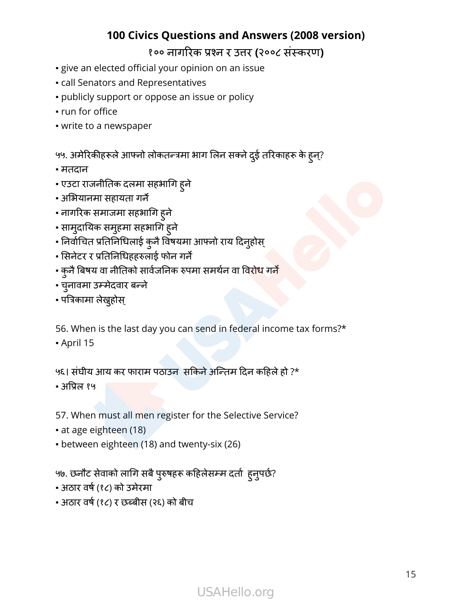- give an elected official your opinion on an issue
- call Senators and Representatives
- publicly support or oppose an issue or policy
- run for office
- write to a newspaper

५५. अमेरिकीहरूले आफ्नो लोकतन्त्रमा भाग लिन सक्ने दुई तरिकाहरू के हुन्?

- मतदान
- एउटा राजनीतिक दलमा सहभागि हुने
- अभियानमा सहायता गर्ने
- नागरिक समाजमा सहभागि हुने
- सामुदायिक समुहमा सहभागि हुने
- निर्वाचित प्रतिनिधिलाई कुनै विषयमा आफ्नो राय दिनुहोस्
- सिनेटर र प्रतिनिधिहहरुलाई फोन गर्ने
- कुनै बिषय वा नीतिको सार्वजनिक रुपमा समर्थन वा विरोध गर्<mark>ने</mark>
- चनावमा ु उम्मेदवार बन्ने
- पत्रिकामा लेख्नुहोस ्

56. When is the last day you can send in federal income tax forms?\*

▪ April 15

#### ५६। संघीय आय कर फाराम पठाउन सकिनेअन्तिम दिन कहिले हो ?\*

▪ अप्रिल १५

57. When must all men register for the Selective Service?

- at age eighteen (18)
- between eighteen (18) and twenty-six (26)

५७. छनौट सेवाको लागि सबैपरुुषहरू कहिलेसम्म दर्ता हुनपुर्छ?

- अठार वर्ष (र्ष १८) को उमेरमा
- अठार वर्ष (र्ष १८) र छब्बीस (२६) को बीच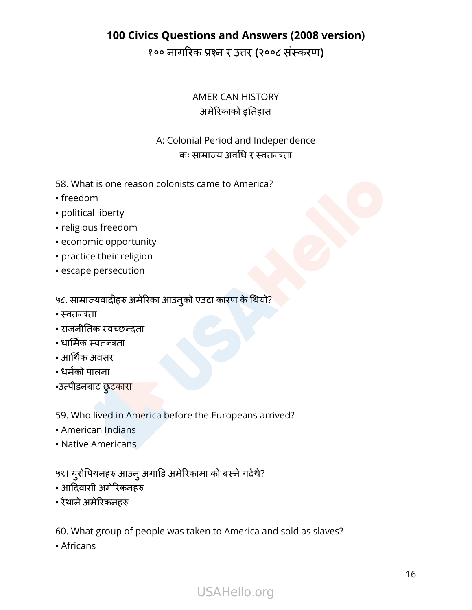१०० नागरिक प्रश्न र उत्तर **(**२००८ संस्करण**)**

#### AMERICAN HISTORY अमेरिकाको इतिहास

#### A: Colonial Period and Independence कः साम्राज्य अवधि र स्वतन्त्रता

- 58. What is one reason colonists came to America?
- freedom
- political liberty
- religious freedom
- economic opportunity
- practice their religion
- **Example persecution**

५८. साम्राज्यवादीहरु अमेरिका आउन्को एउटा कारण के थियो?

- स्वतन्त्रता
- राजनीतिक स्वच्छन्दता
- धार्मिकर्मि स्वतन्त्रता
- आर्थिकर्थि अवसर
- धर्मको पालना
- •उत्पीडनबाट छुटकारा
- 59. Who lived in America before the Europeans arrived?
- American Indians
- Native Americans

५९। युरोपियनहरु आउनु अगाडि अमेरिकामा को बस्ने गर्दथे?

- आदिवासी अमेरिकनहरु
- रैथाने अमेरिकनहरु

60. What group of people was taken to America and sold as slaves?

▪ Africans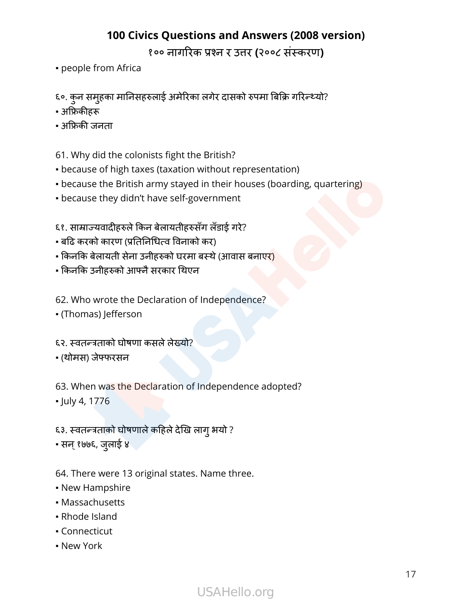१०० नागरिक प्रश्न र उत्तर **(**२००८ संस्करण**)**

- people from Africa
- ६०. कुन समूहका मानिसहरुलाई अमेरिका लगेर दासको रुपमा बिक्रि गरिन्थ्यो?
- अफ्रिकीहरू
- अफ्रिकी जनता
- 61. Why did the colonists fight the British?
- because of high taxes (taxation without representation)
- because the British army stayed in their houses (boarding, quartering)
- **because they didn't have self-government**
- ६१. साम्राज्यवादीहरुले किन बेलायतीहरुसँग लँडाई गरे?
- बढि करको कारण (प्रतिनिधित्व विनाको कर)
- किनकि बेलायती सेना उनीहरुको घरमा बस्थे (आवास बनाए<mark>र)</mark>
- किनकि उनीहरुको आफ्नैसरकार थिएन
- 62. Who wrote the Declaration of Independence?
- (Thomas) Jefferson
- ६२. स्वतन्त्रताको घोषणा कसले लेख्यो?
- (थोमस) जेफ्फरसन

63. When was the Declaration of Independence adopted? ▪ July 4, 1776

- ६३. स्वतन्त्रताको घोषणालेकहिलेदेखि लागुभयो ?
- सन्१७७६, जलाई ु ४

64. There were 13 original states. Name three.

- New Hampshire
- Massachusetts
- Rhode Island
- Connecticut
- New York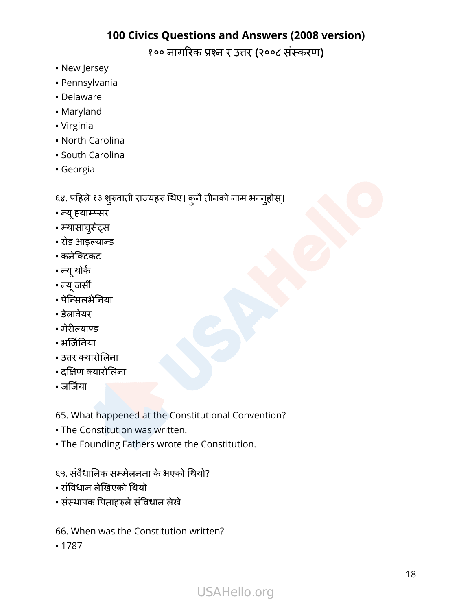१०० नागरिक प्रश्न र उत्तर **(**२००८ संस्करण**)**

- New Jersey
- Pennsylvania
- Delaware
- Maryland
- Virginia
- North Carolina
- South Carolina
- Georgia

६४. पहिले १३ शुरुवाती राज्यहरु थिए। कुनै तीनको नाम भन्नुहोस्।

- न्यूह्याम्प्सर
- म्यासाचुसेट्स
- रोड आइल्यान्ड
- कनेक्टिकट
- न्यूयोर्क
- न्यूजर्सी
- पेन्सिलभेनिया
- डेलावेयर
- मेरील्याण्ड
- भर्जिनिर्जि या
- उत्तर क्यारोलिना
- दक्षिण क्यारोलिना
- जर्जिया

65. What happened at the Constitutional Convention?

- **The Constitution was written.**
- **.** The Founding Fathers wrote the Constitution.

#### ६५. संवैधानिक सम्मेलनमा के भएको थियो?

- संविधान लेखिएको थियो
- संस्थापक पिताहरुले संविधान लेखे
- 66. When was the Constitution written?
- 1787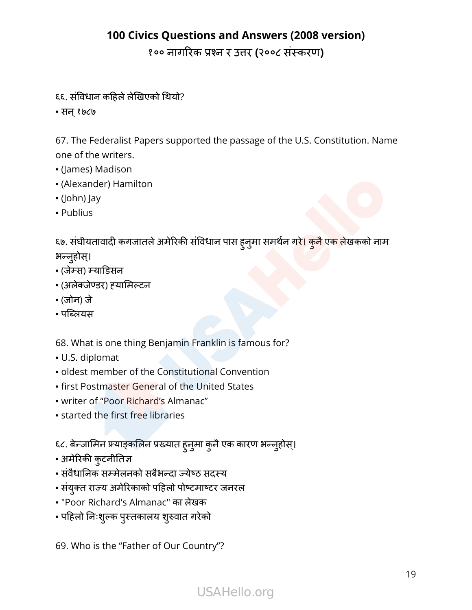१०० नागरिक प्रश्न र उत्तर **(**२००८ संस्करण**)**

- ६६. संविधान कहिले लेखिएको थियो?
- सन्१७८७

67. The Federalist Papers supported the passage of the U.S. Constitution. Name one of the writers.

- (James) Madison
- (Alexander) Hamilton
- (John) Jay
- Publius

६७. संघीयतावादी कगजातले अमेरिकी संविधान पास ह्नुमा समर्थन ग<mark>रे। कुनै एक ले</mark>खकको नाम भन्नूहोस्।

- (जेम्स) म्याडिसन
- (अलेक्जेण्डर) ह्यामिल्टन
- (जोन) जे
- पब्लियस

68. What is one thing Benjamin Franklin is famous for?

- U.S. diplomat
- **oldest member of the Constitutional Convention**
- **.** first Postmaster General of the United States
- writer of "Poor Richard's Almanac"
- **Example 1 started the first free libraries**

६८. बेन्जामिन फ्र्याङ्कलिन प्रख्यात ह्नुमा कुनै एक कारण भन्नुहोस्।

- अमेरिकी कुटनीतिज्ञ
- संवैधानिक सम्मेलनको सबैभन्दा ज्येष्ठ सदस्य
- संयक्ुत राज्य अमेरिकाको पहिलो पोष्टमाष्टर जनरल
- "Poor Richard's Almanac" का लेखक
- पहिलो निःशुल्क पुस्तकालय शुरुवात गरेको

69. Who is the "Father of Our Country"?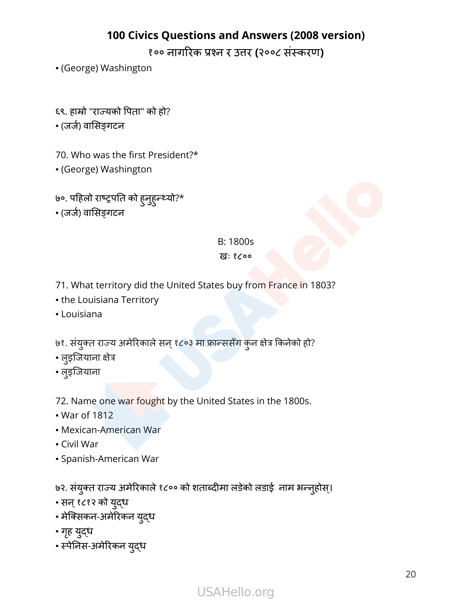१०० नागरिक प्रश्न र उत्तर **(**२००८ संस्करण**)**

- (George) Washington
- ६९. हाम्रो "राज्यको पिता" को हो?
- (जर्ज) र्ज वासिङ्गटन
- 70. Who was the first President?\*
- (George) Washington
- ७०. पहिलो राष्ट्रपति को हुनहुुन्थ्यो?\*
- (जर्ज) र्ज वासिङ्गटन

# B: 1800s

#### खः १८००

- 71. What territory did the United States buy from France in 1803?
- **the Louisiana Territory**
- Louisiana
- ७१. संयुक्त राज्य अमेरिकाले सन् १८०३ मा फ्रान्ससँग कुन क्षेत्र किनेको हो?
- लइुजियाना क्षेत्र
- लइुजियाना

72. Name one war fought by the United States in the 1800s.

- War of 1812
- Mexican-American War
- Civil War
- Spanish-American War

७२. संयुक्त राज्य अमेरिकाले १८०० को शताब्दीमा लडेको लडाई नाम भन्नुहोस्।

- सन्१८१२ को यद्ुध
- मेक्सिकन-अमेरिकन यद्ुध
- गृह युद्ध
- स्पेनिस-अमेरिकन यद्ुध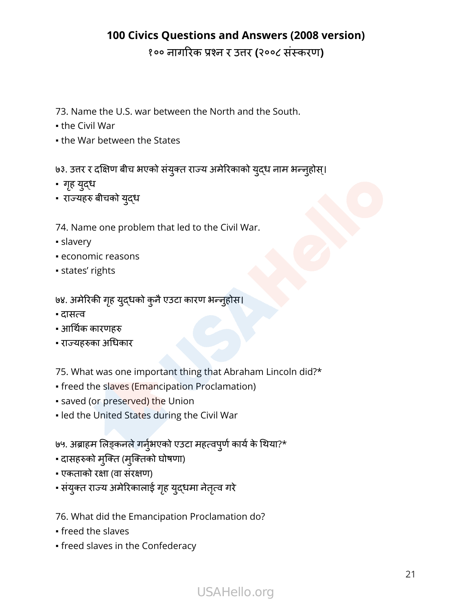१०० नागरिक प्रश्न र उत्तर **(**२००८ संस्करण**)**

- 73. Name the U.S. war between the North and the South.
- $\bullet$  the Civil War
- **.** the War between the States

७३. उत्तर र दक्षिण बीच भएको संयुक्त राज्य अमेरिकाको युद्ध नाम भन्नुहोस्।

- गृह युद्ध
- राज्यहरु बीचको यद्ुध
- 74. Name one problem that led to the Civil War.
- slavery
- economic reasons
- states' rights
- ७४. अमेरिकी गृह युद्धको कुनै एउटा कारण भन्नुहोस।
- दासत्व
- आर्थिक कारणहरु
- राज्यहरुका अधिकार

75. What was one important thing that Abraham Lincoln did?\*

- freed the slaves (Emancipation Proclamation)
- saved (or preserved) the Union
- . led the United States during the Civil War

७५. अब्राहम लिङ्कनले गर्नुभएको एउटा महत्वपूर्ण कार्य के थिया?\*

- दासहरुको मुक्ति (मुक्तिको घोषणा)
- एकताको रक्षा (वा संरक्षण)
- संयुक्त राज्य अमेरिकालाई गृह युद्धमा नेतृत्व गरे

76. What did the Emancipation Proclamation do?

- freed the slaves
- freed slaves in the Confederacy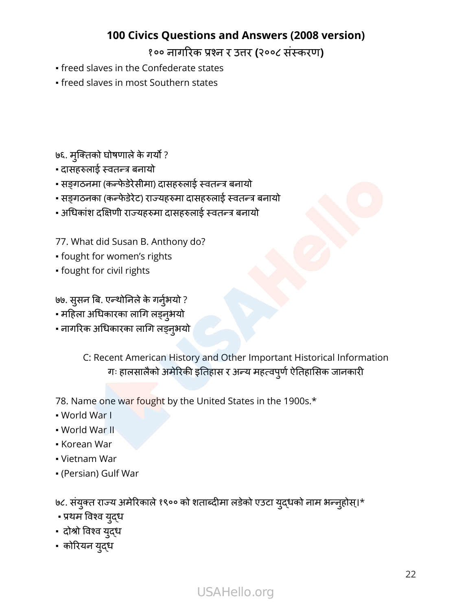१०० नागरिक प्रश्न र उत्तर **(**२००८ संस्करण**)**

- freed slaves in the Confederate states
- **.** freed slaves in most Southern states

७६. मुक्तिको घोषणाले के गर्यो ?

- दासहरुलाई स्वतन्त्र बनायो
- सङ्गठनमा (कन्फे डेरेसीमा) दासहरुलाई स्वतन्त्र बनायो
- सङ्गठनका (कन्फे डेरेट) राज्यहरुमा दासहरुलाई स्वतन्त्र बनायो
- अधिकांश दक्षिणी राज्यहरुमा दासहरुलाई स्वतन्त्र बनायो

77. What did Susan B. Anthony do?

- fought for women's rights
- fought for civil rights

७७. सुसन बि. एन्थोनिले के गर्नुभयो ?

- महिला अधिकारका लागि लड्न्अयो
- नागरिक अधिकारका लागि लड्नभयो ु

C: Recent American History and Other Important Historical Information गः हालसालैको अमेरिकी इतिहास र अन्य महत्वपूर्ण ऐतिहासिक जानकारी

78. Name one war fought by the United States in the 1900s.\*

- World War I
- World War II
- Korean War
- Vietnam War
- (Persian) Gulf War

७८. संयुक्त राज्य अमेरिकाले १९०० को शताब्दीमा लडेको एउटा युद्धको नाम भन्नुहोस्।\*

- प्रथम विश्व यद्ुध
- दोश्रो विश्व यद्ुध
- कोरियन यद्ुध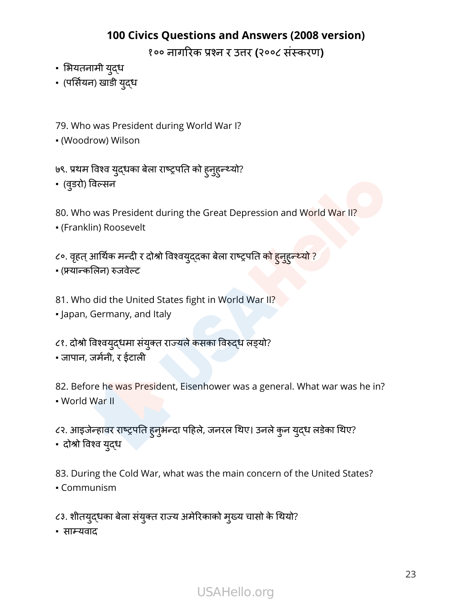१०० नागरिक प्रश्न र उत्तर **(**२००८ संस्करण**)**

- भियतनामी यद्ुध
- (पर्सियन) खाडी युद्ध

79. Who was President during World War I?

▪ (Woodrow) Wilson

७९. प्रथम विश्व युद्धका बेला राष्ट्रपति को हुन्हुन्थ्यो?

▪ (वडरो ु ) विल्सन

80. Who was President during the Great Depression and World War II?

▪ (Franklin) Roosevelt

८०. वृहत् आर्थिक मन्दी र दोश्रो विश्वय्**द्**दका बेला राष्ट्रपति क<mark>ो हुनुहुन्थ्यो ?</mark>

- (फ्र्यान्कलिन) रुजवेल्ट
- 81. Who did the United States fight in World War II?
- Japan, Germany, and Italy
- ८१. दोश्रो विश्वयद्धमा संयुक्त राज्यले कसका विरुद्ध लड्यो?
- जापान, जर्मनी र्म , र ईटाली

82. Before he was President, Eisenhower was a general. What war was he in? ▪ World War II

८२. आइजेन्हावर राष्ट्रपति हुनुभन्दा पहिले, जनरल थिए। उनले कुन युद्ध लडेका थिए?

▪ दोश्रो विश्व यद्ुध

83. During the Cold War, what was the main concern of the United States?

▪ Communism

८३. शीतयुदधका बेला संयुक्त राज्य अमेरिकाको मुख्य चासो के थियो?

▪ साम्यवाद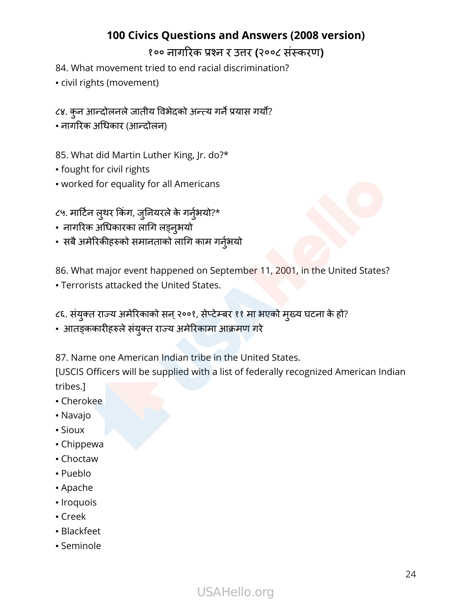84. What movement tried to end racial discrimination?

- civil rights (movement)
- ८४. कुन आन्दोलनले जातीय विभेदको अन्त्य गर्ने प्रयास गर्यो?
- नागरिक अधिकार (आन्दोलन)

85. What did Martin Luther King, Jr. do?\*

- fought for civil rights
- worked for equality for all Americans

८५. मार्टिन लुथर किंग, जुनियरले के गर्नुभयो?\*

- नागरिक अधिकारका लागि लड्नभयो ु
- सबै अमेरिकीहरुको समानताको लागि काम गर्नुभयो

86. What major event happened on September 11, 2001, in the United States?

- **Terrorists attacked the United States.**
- ८६. संयुक्त राज्य अमेरिकाको सन् २००१, सेप्टेम्बर ११ मा भएको मुख्य घटना के हो?
- आतङ्ककारीहरुलेसंयक्ुत राज्य अमेरिकामा आक्रमण गरे

87. Name one American Indian tribe in the United States.

[USCIS Officers will be supplied with a list of federally recognized American Indian tribes.]

- Cherokee
- Navajo
- Sioux
- Chippewa
- Choctaw
- Pueblo
- Apache
- Iroquois
- Creek
- Blackfeet
- Seminole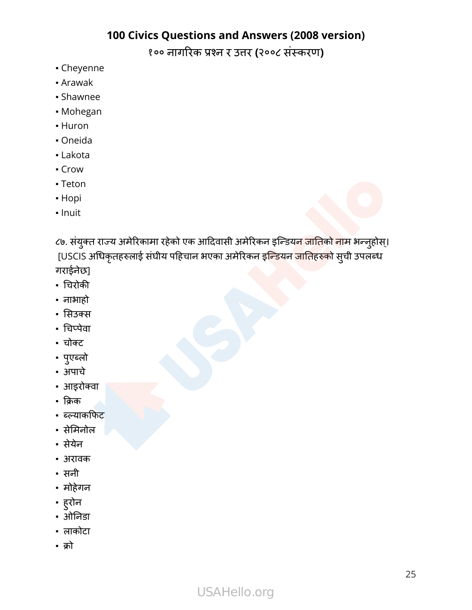१०० नागरिक प्रश्न र उत्तर **(**२००८ संस्करण**)**

- Cheyenne
- Arawak
- Shawnee
- Mohegan
- Huron
- Oneida
- Lakota
- Crow
- Teton
- Hopi
- Inuit

८७. संयुक्त राज्य अमेरिकामा रहेको एक आदिवासी अमेरिकन इन्डियन <mark>जातिको ना</mark>म भन्नुहोस्। [USCIS अधिकृतहरुलाई संघीय पहिचान भएका अमेरिकन इ<mark>न्डियन जातिहरुको</mark> सुची उपलब्ध गराईनेछ]

- चिरोकी
- नाभाहो
- सिउक्स
- चिप्पेवा
- चोक्ट
- पएु ब्लो
- अपाचे
- आइरोक्वा
- क्रिक
- ब्ल्याकफिट
- सेमिनोल
- सेयेन
- अरावक
- सनी
- मोहेगन
- हुरोन
- ओनिडा
- लाकोटा
- क्रो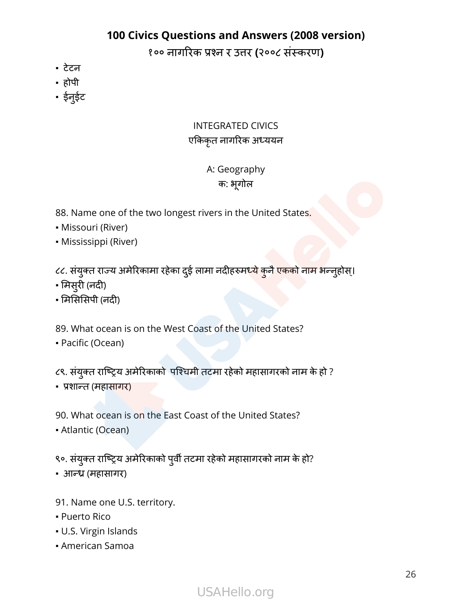१०० नागरिक प्रश्न र उत्तर **(**२००८ संस्करण**)**

- टेटन
- होपी
- ईनुईट

#### INTEGRATED CIVICS एकिकृत नागरिक अध्ययन

#### A: Geography क: भूगोल

- 88. Name one of the two longest rivers in the United States.
- Missouri (River)
- Mississippi (River)

८८. संयुक्त राज्य अमेरिकामा रहेका दुई लामा नदीहरुम<mark>ध्ये कुनै एकको नाम भ</mark>न्नुहोस्।

- मिसरुी (नदी)
- मिसिसिपी (नदी)

89. What ocean is on the West Coast of the United States?

▪ Pacific (Ocean)

८९. संयुक्त राष्ट्रिय अमेरिकाको पश्चिमी तटमा रहेको महासागरको नाम के हो ?

▪ प्रशान्त (महासागर)

90. What ocean is on the East Coast of the United States?

▪ Atlantic (Ocean)

९०. संयुक्त राष्ट्रिय अमेरिकाको पुर्वी तटमा रहेको महासागरको नाम के हो?

- आन्ध्र (महासागर)
- 91. Name one U.S. territory.
- Puerto Rico
- U.S. Virgin Islands
- American Samoa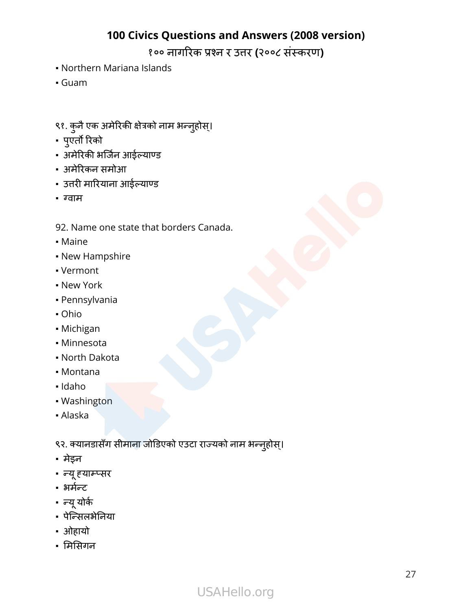१०० नागरिक प्रश्न र उत्तर **(**२००८ संस्करण**)**

- Northern Mariana Islands
- Guam
- ९१. कुनै एक अमेरिकी क्षेत्रको नाम भन्नुहोस्।
- पएुर्तो रिको
- अमेरिकी भर्जिन आईल्याण्ड
- अमेरिकन समोआ
- उत्तरी मारियाना आईल्याण्ड
- ग्वाम

92. Name one state that borders Canada.

- Maine
- New Hampshire
- Vermont
- New York
- Pennsylvania
- Ohio
- Michigan
- Minnesota
- North Dakota
- Montana
- Idaho
- Washington
- Alaska

९२. क्यानडासँग सीमाना जोडिएको एउटा राज्यको नाम भन्नुहोस्।

- मेइन
- न्यूह्याम्प्सर
- भर्मन्र्म ट
- न्यूयोर्क
- पेन्सिलभेनिया
- ओहायो
- मिसिगन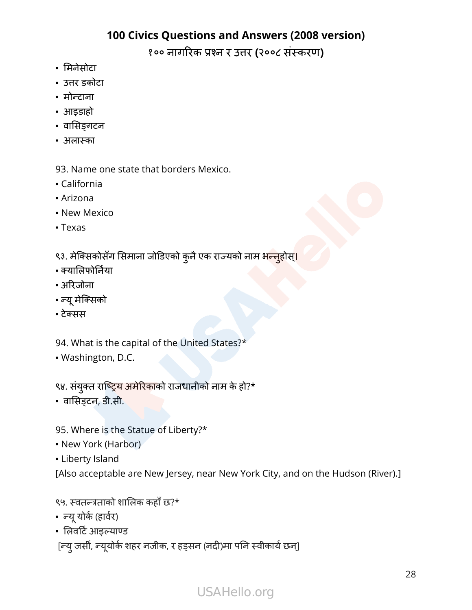१०० नागरिक प्रश्न र उत्तर **(**२००८ संस्करण**)**

- मिनेसोटा
- उत्तर डकोटा
- मोन्टाना
- आइडाहो
- वासिङ्गटन
- अलास्का

93. Name one state that borders Mexico.

- California
- Arizona
- **New Mexico**
- Texas
- ९३. मेक्सिकोसँग सिमाना जोडिएको कुनै एक राज्यको नाम भ<mark>न्नु</mark>होस्<mark>।</mark>
- क्यालिफोर्निया
- अरिजोना
- न्यूमेक्सिको
- टेक्सस

94. What is the capital of the United States?\*

▪ Washington, D.C.

९४. संयुक्त राष्ट्रिय अमेरिकाको राजधानीको नाम के हो?\*

• वासिङ्टन, डी.सी.

95. Where is the Statue of Liberty?\*

- New York (Harbor)
- **Liberty Island**

[Also acceptable are New Jersey, near New York City, and on the Hudson (River).]

९५. स्वतन्त्रताको शालिक कहाँछ?\*

- न्यूयोर्क (हार्वर)
- लिवर्टिआइल्याण्ड

[न्यु जर्सी, न्यूयोर्क शहर नजीक, र हड्सन (नदी)मा पनि स्वीकार्य छन्]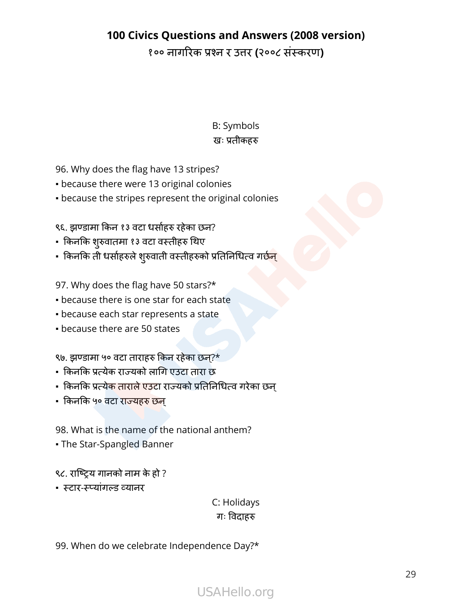१०० नागरिक प्रश्न र उत्तर **(**२००८ संस्करण**)**

B: Symbols खः प्रतीकहरु

96. Why does the flag have 13 stripes?

- because there were 13 original colonies
- because the stripes represent the original colonies

९६. झण्डामा किन १३ वटा धर्साहरु रहेका छन?

- किनकि शरुुवातमा १३ वटा वस्तीहरु थिए
- किनकि ती धर्साहरुले शुरुवाती वस्तीहरुको प्रतिनिधित्व गर्छ<mark>न्</mark>

97. Why does the flag have 50 stars?\*

- **because there is one star for each state**
- because each star represents a state
- **because there are 50 states**

९७. झण्डामा ५० वटा ताराहरु किन रहेका छन?\*्

- किनकि प्रत्येक राज्यको लागि एउटा तारा छ
- किनकि प्रत्येक ताराले एउटा राज्यको प्रतिनिधित्व गरेका छन्
- किनकि ५० वटा राज्यहरु छन्

98. What is the name of the national anthem?

• The Star-Spangled Banner

९८. राष्ट्रिय गानको नाम के हो ?

▪ स्टार-स्प्यांगल्ड व्यानर

C: Holidays गः विदाहरु

99. When do we celebrate Independence Day?\*